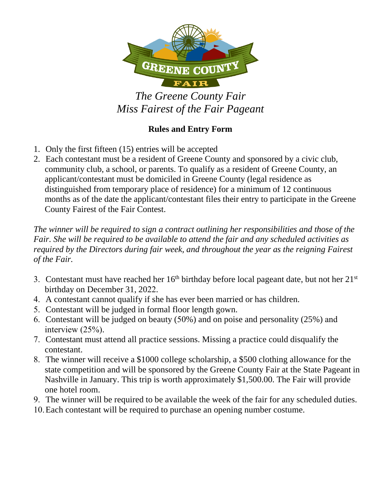

*The Greene County Fair Miss Fairest of the Fair Pageant* 

## **Rules and Entry Form**

- 1. Only the first fifteen (15) entries will be accepted
- 2. Each contestant must be a resident of Greene County and sponsored by a civic club, community club, a school, or parents. To qualify as a resident of Greene County, an applicant/contestant must be domiciled in Greene County (legal residence as distinguished from temporary place of residence) for a minimum of 12 continuous months as of the date the applicant/contestant files their entry to participate in the Greene County Fairest of the Fair Contest.

*The winner will be required to sign a contract outlining her responsibilities and those of the Fair. She will be required to be available to attend the fair and any scheduled activities as required by the Directors during fair week, and throughout the year as the reigning Fairest of the Fair.*

- 3. Contestant must have reached her  $16<sup>th</sup>$  birthday before local pageant date, but not her  $21<sup>st</sup>$ birthday on December 31, 2022.
- 4. A contestant cannot qualify if she has ever been married or has children.
- 5. Contestant will be judged in formal floor length gown.
- 6. Contestant will be judged on beauty (50%) and on poise and personality (25%) and interview (25%).
- 7. Contestant must attend all practice sessions. Missing a practice could disqualify the contestant.
- 8. The winner will receive a \$1000 college scholarship, a \$500 clothing allowance for the state competition and will be sponsored by the Greene County Fair at the State Pageant in Nashville in January. This trip is worth approximately \$1,500.00. The Fair will provide one hotel room.
- 9. The winner will be required to be available the week of the fair for any scheduled duties.
- 10.Each contestant will be required to purchase an opening number costume.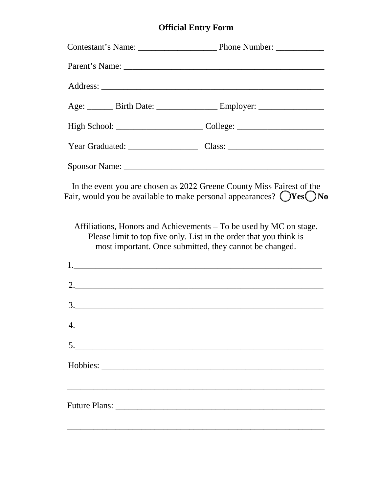## **Official Entry Form**

| Age: _______ Birth Date: __________________ Employer: __________________________                                                                                                                    |
|-----------------------------------------------------------------------------------------------------------------------------------------------------------------------------------------------------|
| High School: _________________________________College: __________________________                                                                                                                   |
| Year Graduated: Class: Class:                                                                                                                                                                       |
|                                                                                                                                                                                                     |
| In the event you are chosen as 2022 Greene County Miss Fairest of the<br>Fair, would you be available to make personal appearances? $\bigcirc$ Yes $\bigcirc$ No                                    |
| Affiliations, Honors and Achievements – To be used by MC on stage.<br>Please limit to top five only. List in the order that you think is<br>most important. Once submitted, they cannot be changed. |
|                                                                                                                                                                                                     |
|                                                                                                                                                                                                     |
| $\begin{array}{c} \hline \text{3.} \end{array}$                                                                                                                                                     |
|                                                                                                                                                                                                     |
| 5.                                                                                                                                                                                                  |
|                                                                                                                                                                                                     |
|                                                                                                                                                                                                     |